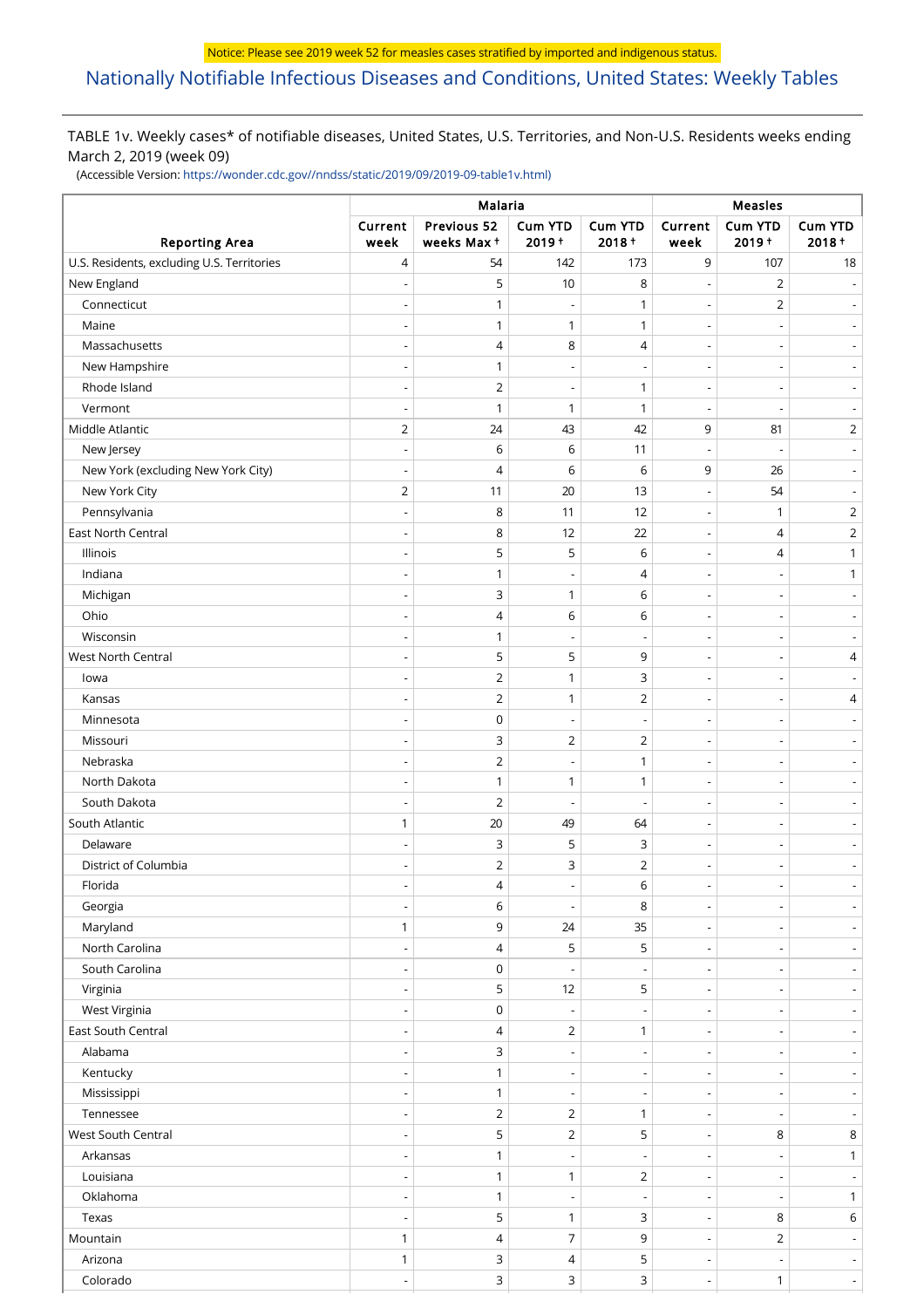# [Nationally Notifiable Infectious Diseases and Conditions, United States: Weekly Tables](https://wwwn.cdc.gov/nndss/)

## TABLE 1v. Weekly cases\* of notifiable diseases, United States, U.S. Territories, and Non-U.S. Residents weeks ending March 2, 2019 (week 09)

(Accessible Version: [https://wonder.cdc.gov//nndss/static/2019/09/2019-09-table1v.html\)](https://wonder.cdc.gov//nndss/static/2019/09/2019-09-table1v.html)

|                                            | Malaria                  |                           |                          |                          |                                            | Measles             |                                            |  |  |
|--------------------------------------------|--------------------------|---------------------------|--------------------------|--------------------------|--------------------------------------------|---------------------|--------------------------------------------|--|--|
| <b>Reporting Area</b>                      | Current<br>week          | Previous 52<br>weeks Max+ | <b>Cum YTD</b><br>2019+  | Cum YTD<br>$2018 +$      | Current<br>week                            | Cum YTD<br>$2019 +$ | <b>Cum YTD</b><br>$2018 +$                 |  |  |
| U.S. Residents, excluding U.S. Territories | 4                        | 54                        | 142                      | 173                      | 9                                          | 107                 | 18                                         |  |  |
| New England                                |                          | 5                         | 10                       | 8                        | $\overline{\phantom{a}}$                   | $\overline{2}$      |                                            |  |  |
| Connecticut                                |                          | 1                         |                          | 1                        | $\overline{a}$                             | $\overline{2}$      |                                            |  |  |
| Maine                                      |                          | 1                         | 1                        | $\mathbf{1}$             | $\overline{\phantom{a}}$                   |                     | $\overline{\phantom{a}}$                   |  |  |
| Massachusetts                              |                          | 4                         | 8                        | 4                        | $\overline{a}$                             |                     |                                            |  |  |
| New Hampshire                              | $\overline{\phantom{a}}$ | 1                         |                          | $\overline{\phantom{a}}$ | $\overline{\phantom{a}}$                   |                     | $\overline{\phantom{a}}$                   |  |  |
| Rhode Island                               | $\overline{\phantom{a}}$ | $\overline{2}$            |                          | $\mathbf{1}$             | $\overline{\phantom{0}}$                   |                     |                                            |  |  |
| Vermont                                    | $\overline{\phantom{a}}$ | 1                         | 1                        | 1                        | $\overline{\phantom{a}}$                   |                     | $\overline{a}$                             |  |  |
| Middle Atlantic                            | $\overline{2}$           | 24                        | 43                       | 42                       | 9                                          | 81                  | $\overline{2}$                             |  |  |
| New Jersey                                 |                          | 6                         | 6                        | 11                       |                                            |                     | $\overline{\phantom{a}}$                   |  |  |
| New York (excluding New York City)         | $\overline{\phantom{a}}$ | 4                         | 6                        | 6                        | 9                                          | 26                  | $\overline{\phantom{a}}$                   |  |  |
| New York City                              | $\overline{2}$           | 11                        | 20                       | 13                       | $\overline{\phantom{a}}$                   | 54                  |                                            |  |  |
| Pennsylvania                               | $\overline{\phantom{a}}$ | 8                         | 11                       | 12                       | $\overline{\phantom{a}}$                   | 1                   | $\overline{2}$                             |  |  |
| East North Central                         |                          | 8                         | 12                       | 22                       | $\overline{a}$                             | 4                   | $\overline{2}$                             |  |  |
| Illinois                                   | $\overline{a}$           | 5                         | 5                        | 6                        | $\overline{\phantom{a}}$                   | 4                   | $\mathbf{1}$                               |  |  |
| Indiana                                    |                          | 1                         |                          | 4                        | $\overline{a}$                             |                     | $\mathbf{1}$                               |  |  |
| Michigan                                   | $\overline{\phantom{a}}$ | 3                         | 1                        | 6                        | $\overline{\phantom{a}}$                   |                     | $\overline{\phantom{m}}$                   |  |  |
| Ohio                                       |                          | $\overline{4}$            | 6                        | 6                        | $\overline{\phantom{a}}$                   |                     | $\overline{\phantom{a}}$                   |  |  |
| Wisconsin                                  |                          | $\mathbf{1}$              |                          | $\overline{\phantom{a}}$ | $\overline{\phantom{a}}$                   |                     | $\overline{\phantom{a}}$                   |  |  |
| West North Central                         | $\overline{\phantom{a}}$ | 5                         | 5                        | 9                        | $\overline{a}$                             |                     | 4                                          |  |  |
| lowa                                       |                          | $\overline{2}$            | 1                        | 3                        | $\overline{\phantom{a}}$                   |                     |                                            |  |  |
| Kansas                                     | $\overline{\phantom{a}}$ | $\overline{2}$            | 1                        | $\overline{2}$           | $\overline{\phantom{a}}$                   |                     | $\overline{4}$                             |  |  |
| Minnesota                                  |                          | $\mathsf 0$               |                          | $\overline{\phantom{a}}$ | $\overline{a}$                             |                     | $\overline{\phantom{a}}$                   |  |  |
| Missouri                                   |                          | 3                         | $\overline{2}$           | $\overline{2}$           | $\overline{\phantom{a}}$                   |                     | $\overline{a}$                             |  |  |
| Nebraska                                   |                          | $\overline{2}$            |                          | $\mathbf{1}$             | $\overline{a}$                             |                     |                                            |  |  |
| North Dakota                               | $\overline{a}$           | $\mathbf{1}$              | 1                        | $\mathbf{1}$             | $\overline{\phantom{a}}$                   |                     | $\overline{\phantom{m}}$                   |  |  |
| South Dakota                               |                          | $\overline{2}$            |                          | Ĭ.                       | $\overline{a}$                             |                     | $\overline{\phantom{a}}$                   |  |  |
| South Atlantic                             | $\mathbf{1}$             | 20                        | 49                       | 64                       | $\overline{\phantom{a}}$                   |                     | $\overline{a}$                             |  |  |
| Delaware                                   |                          | 3                         | 5                        | 3                        | $\overline{\phantom{0}}$                   |                     | $\overline{\phantom{a}}$                   |  |  |
| District of Columbia                       | $\overline{\phantom{a}}$ | 2                         | 3                        | 2                        | $\qquad \qquad \blacksquare$               |                     |                                            |  |  |
| Florida                                    |                          | $\Delta$                  |                          | 6                        |                                            |                     |                                            |  |  |
| Georgia                                    |                          | 6                         |                          | 8                        | $\overline{a}$                             |                     |                                            |  |  |
| Maryland                                   | $\mathbf{1}$             | 9                         | 24                       | 35                       | $\overline{\phantom{a}}$                   |                     | $\overline{\phantom{a}}$                   |  |  |
| North Carolina                             |                          | 4                         | 5                        | 5                        | $\overline{\phantom{a}}$                   |                     | $\overline{\phantom{a}}$                   |  |  |
| South Carolina                             | $\overline{\phantom{a}}$ | 0                         | $\overline{\phantom{a}}$ | $\overline{\phantom{a}}$ | $\overline{\phantom{a}}$                   |                     | $\blacksquare$                             |  |  |
| Virginia                                   |                          | 5                         | 12                       | 5                        | $\overline{a}$                             |                     | $\overline{\phantom{a}}$                   |  |  |
| West Virginia                              | $\overline{\phantom{a}}$ | $\mathsf 0$               |                          | $\overline{\phantom{a}}$ | $\overline{\phantom{a}}$                   |                     | $\overline{\phantom{a}}$                   |  |  |
| East South Central                         | $\overline{a}$           | 4                         | $\overline{2}$           | $\mathbf{1}$             | $\overline{a}$                             |                     | $\overline{\phantom{a}}$                   |  |  |
| Alabama                                    | $\overline{\phantom{a}}$ | 3                         | $\overline{\phantom{a}}$ | $\overline{\phantom{a}}$ | $\overline{\phantom{a}}$                   |                     | $\overline{\phantom{a}}$                   |  |  |
| Kentucky                                   | $\overline{\phantom{a}}$ | $\mathbf{1}$              | $\overline{\phantom{a}}$ | $\overline{\phantom{a}}$ | $\overline{\phantom{a}}$                   |                     | $\blacksquare$                             |  |  |
| Mississippi                                | $\overline{\phantom{a}}$ | $\mathbf{1}$              |                          | $\overline{\phantom{a}}$ | $\overline{\phantom{a}}$                   |                     | $\overline{\phantom{a}}$                   |  |  |
| Tennessee                                  | $\overline{\phantom{a}}$ | $\overline{2}$            | $\overline{2}$           | $\mathbf{1}$             | $\overline{\phantom{0}}$                   |                     | $\overline{\phantom{a}}$                   |  |  |
| West South Central                         | $\overline{\phantom{a}}$ | 5                         | $\overline{2}$           | 5                        | $\overline{\phantom{a}}$                   | 8                   | 8                                          |  |  |
| Arkansas                                   | $\overline{\phantom{a}}$ | 1                         | $\overline{a}$           | $\overline{\phantom{a}}$ | $\overline{\phantom{a}}$                   |                     | $\mathbf{1}$                               |  |  |
| Louisiana                                  |                          | $\mathbf{1}$              | 1                        | $\overline{2}$           | $\overline{\phantom{a}}$                   |                     | $\overline{\phantom{a}}$                   |  |  |
| Oklahoma                                   | $\overline{\phantom{a}}$ | $\mathbf{1}$              |                          | $\overline{\phantom{a}}$ | $\overline{\phantom{a}}$                   |                     | $\mathbf{1}$                               |  |  |
| Texas                                      |                          | 5                         | $\mathbf{1}$             |                          | $\overline{\phantom{a}}$                   | 8                   | 6                                          |  |  |
| Mountain                                   | $\mathbf{1}$             | 4                         | 7                        | 3<br>9                   |                                            | $\overline{2}$      |                                            |  |  |
| Arizona                                    | $\mathbf{1}$             | 3                         | 4                        | 5                        | $\overline{\phantom{a}}$<br>$\overline{a}$ |                     | $\blacksquare$<br>$\overline{\phantom{a}}$ |  |  |
| Colorado                                   | $\overline{a}$           | 3                         | 3                        | 3                        |                                            | $\mathbf{1}$        | $\mathbb{L}^{\mathbb{N}}$                  |  |  |